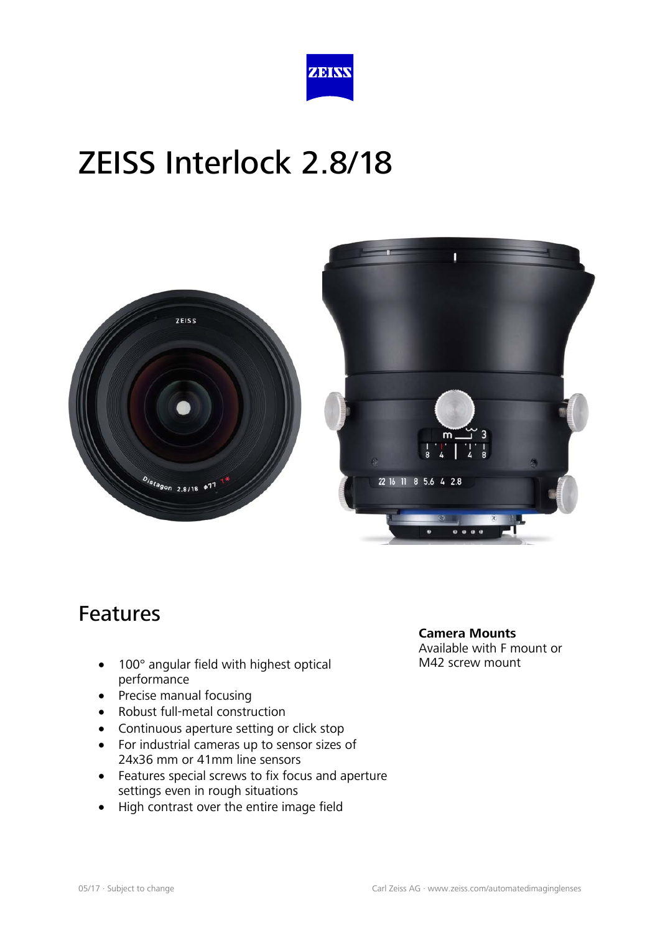





#### Features

- 100° angular field with highest optical performance
- Precise manual focusing
- Robust full-metal construction
- Continuous aperture setting or click stop
- For industrial cameras up to sensor sizes of 24x36 mm or 41mm line sensors
- Features special screws to fix focus and aperture settings even in rough situations
- High contrast over the entire image field

**Camera Mounts** Available with F mount or

M42 screw mount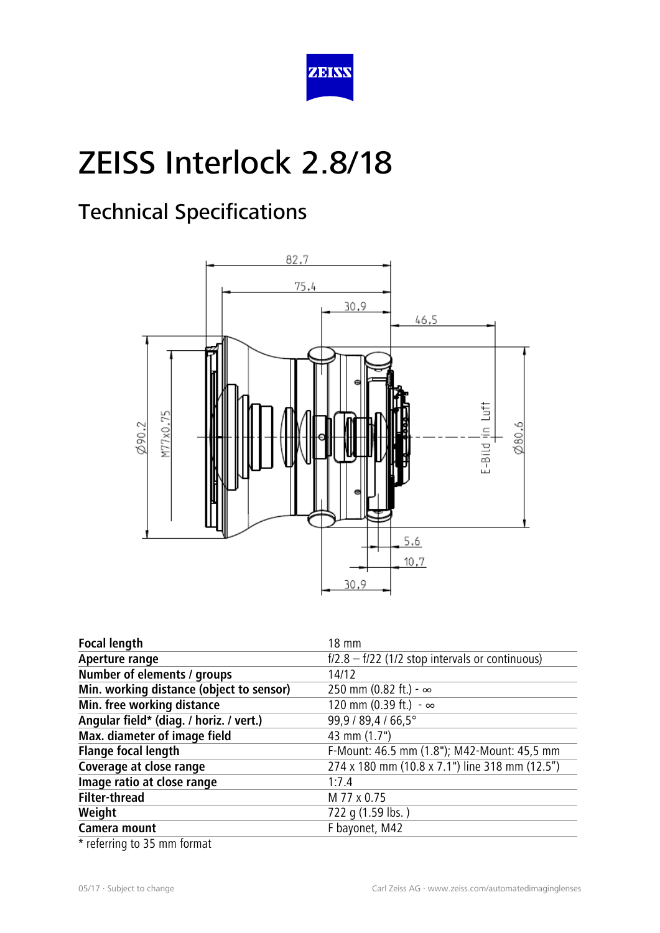

### Technical Specifications



| <b>Focal length</b>                      | 18 mm                                             |
|------------------------------------------|---------------------------------------------------|
| Aperture range                           | $f/2.8 - f/22$ (1/2 stop intervals or continuous) |
| Number of elements / groups              | 14/12                                             |
| Min. working distance (object to sensor) | 250 mm (0.82 ft.) - $\infty$                      |
| Min. free working distance               | 120 mm (0.39 ft.) $-\infty$                       |
| Angular field* (diag. / horiz. / vert.)  | 99,9 / 89,4 / 66,5°                               |
| Max. diameter of image field             | 43 mm (1.7")                                      |
| <b>Flange focal length</b>               | F-Mount: 46.5 mm (1.8"); M42-Mount: 45,5 mm       |
| Coverage at close range                  | 274 x 180 mm (10.8 x 7.1") line 318 mm (12.5")    |
| Image ratio at close range               | 1.7.4                                             |
| <b>Filter-thread</b>                     | M 77 x 0.75                                       |
| Weight                                   | 722 g (1.59 lbs.)                                 |
| Camera mount                             | F bayonet, M42                                    |
| $\epsilon$                               |                                                   |

\* referring to 35 mm format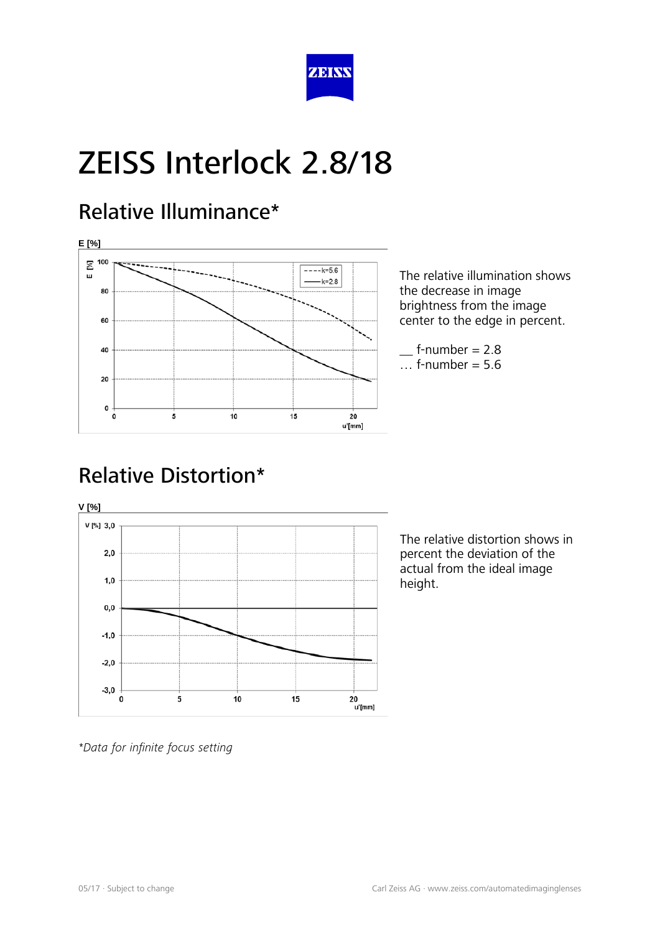

#### Relative Illuminance\*



The relative illumination shows the decrease in image brightness from the image center to the edge in percent.

 $f$ -number = 2.8  $\ldots$  f-number = 5.6

### Relative Distortion\*



The relative distortion shows in percent the deviation of the actual from the ideal image height.

*\*Data for infinite focus setting*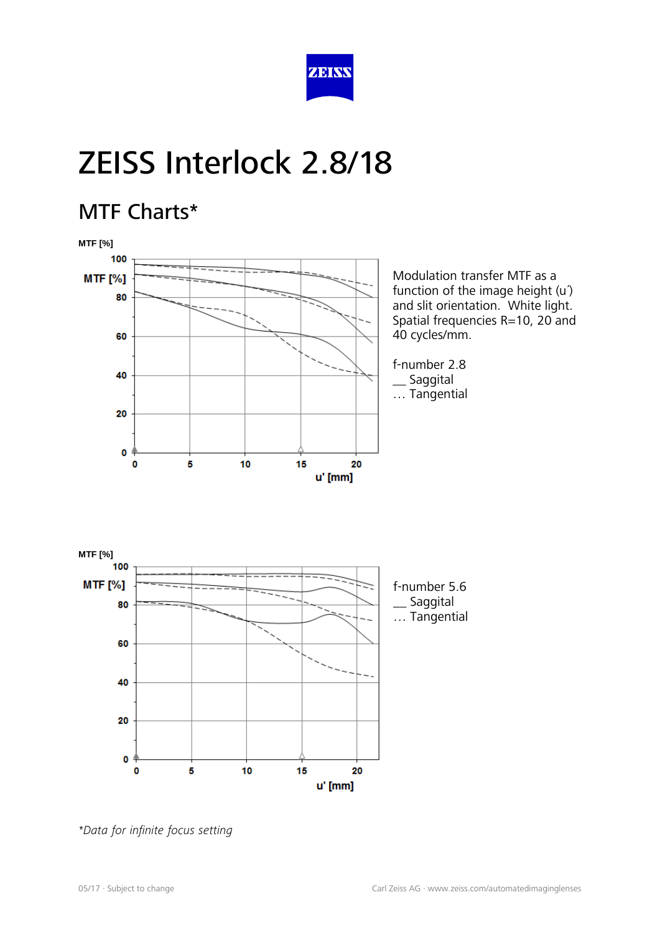

#### MTF Charts\*





*\*Data for infinite focus setting*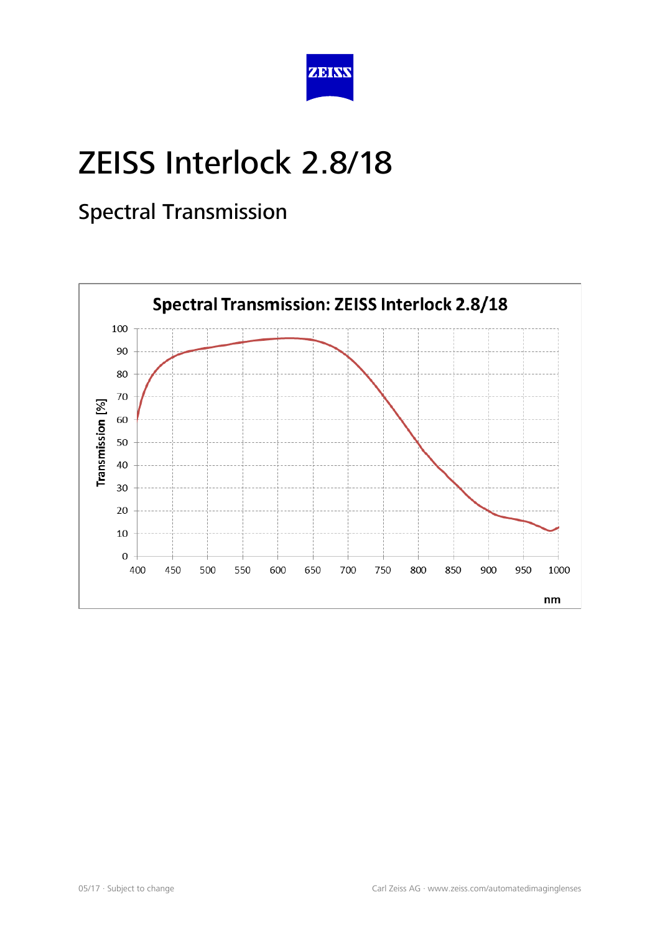

### Spectral Transmission